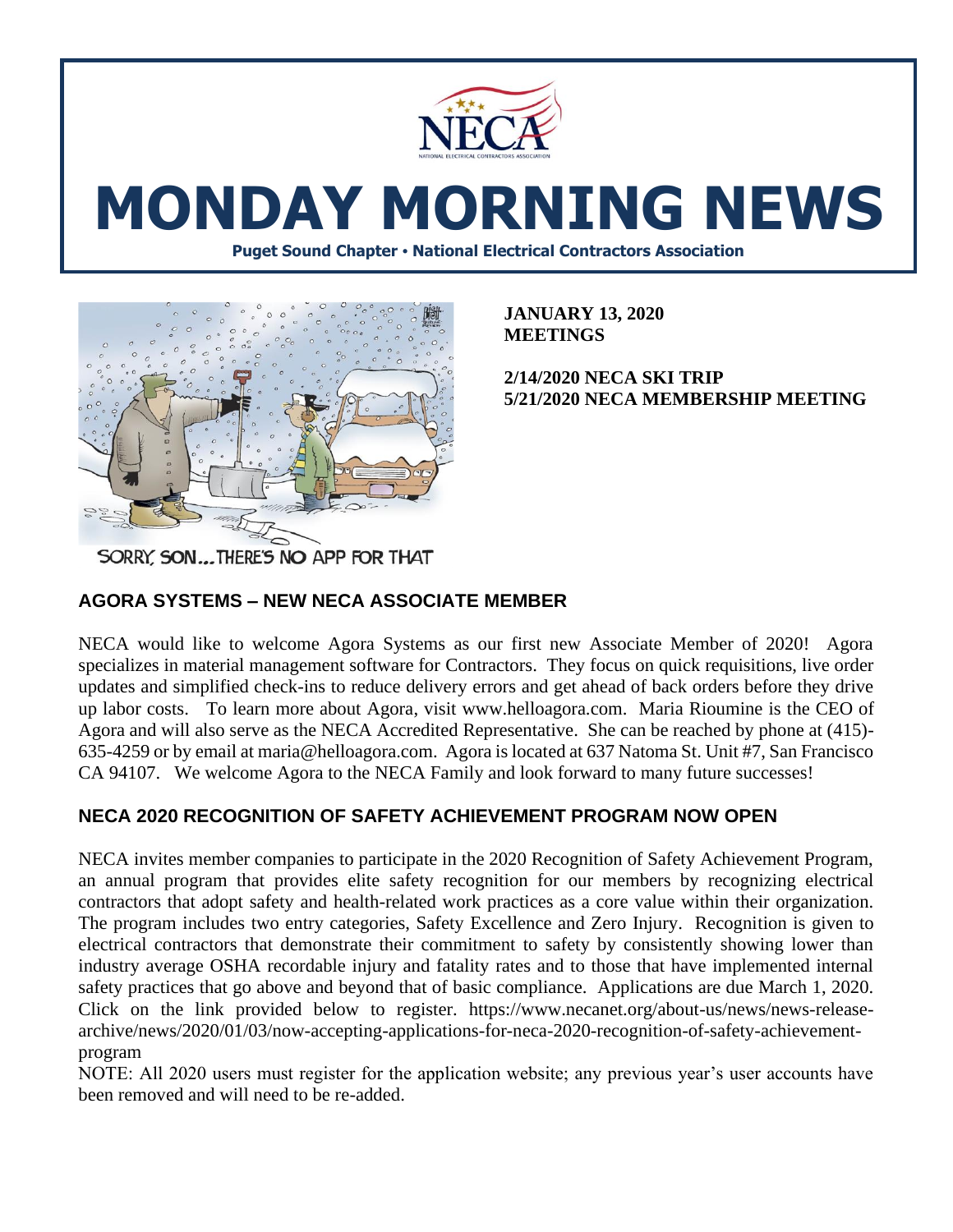

# **MONDAY MORNING NEWS**

**Puget Sound Chapter • National Electrical Contractors Association**



**JANUARY 13, 2020 MEETINGS**

**2/14/2020 NECA SKI TRIP 5/21/2020 NECA MEMBERSHIP MEETING** 

SORRY, SON...THERE'S NO APP FOR THAT

### **AGORA SYSTEMS – NEW NECA ASSOCIATE MEMBER**

NECA would like to welcome Agora Systems as our first new Associate Member of 2020! Agora specializes in material management software for Contractors. They focus on quick requisitions, live order updates and simplified check-ins to reduce delivery errors and get ahead of back orders before they drive up labor costs. To learn more about Agora, visit www.helloagora.com. Maria Rioumine is the CEO of Agora and will also serve as the NECA Accredited Representative. She can be reached by phone at (415)- 635-4259 or by email at maria@helloagora.com. Agora is located at 637 Natoma St. Unit #7, San Francisco CA 94107. We welcome Agora to the NECA Family and look forward to many future successes!

## **NECA 2020 RECOGNITION OF SAFETY ACHIEVEMENT PROGRAM NOW OPEN**

NECA invites member companies to participate in the 2020 Recognition of Safety Achievement Program, an annual program that provides elite safety recognition for our members by recognizing electrical contractors that adopt safety and health-related work practices as a core value within their organization. The program includes two entry categories, Safety Excellence and Zero Injury. Recognition is given to electrical contractors that demonstrate their commitment to safety by consistently showing lower than industry average OSHA recordable injury and fatality rates and to those that have implemented internal safety practices that go above and beyond that of basic compliance. Applications are due March 1, 2020. Click on the link provided below to register. https://www.necanet.org/about-us/news/news-releasearchive/news/2020/01/03/now-accepting-applications-for-neca-2020-recognition-of-safety-achievementprogram

NOTE: All 2020 users must register for the application website; any previous year's user accounts have been removed and will need to be re-added.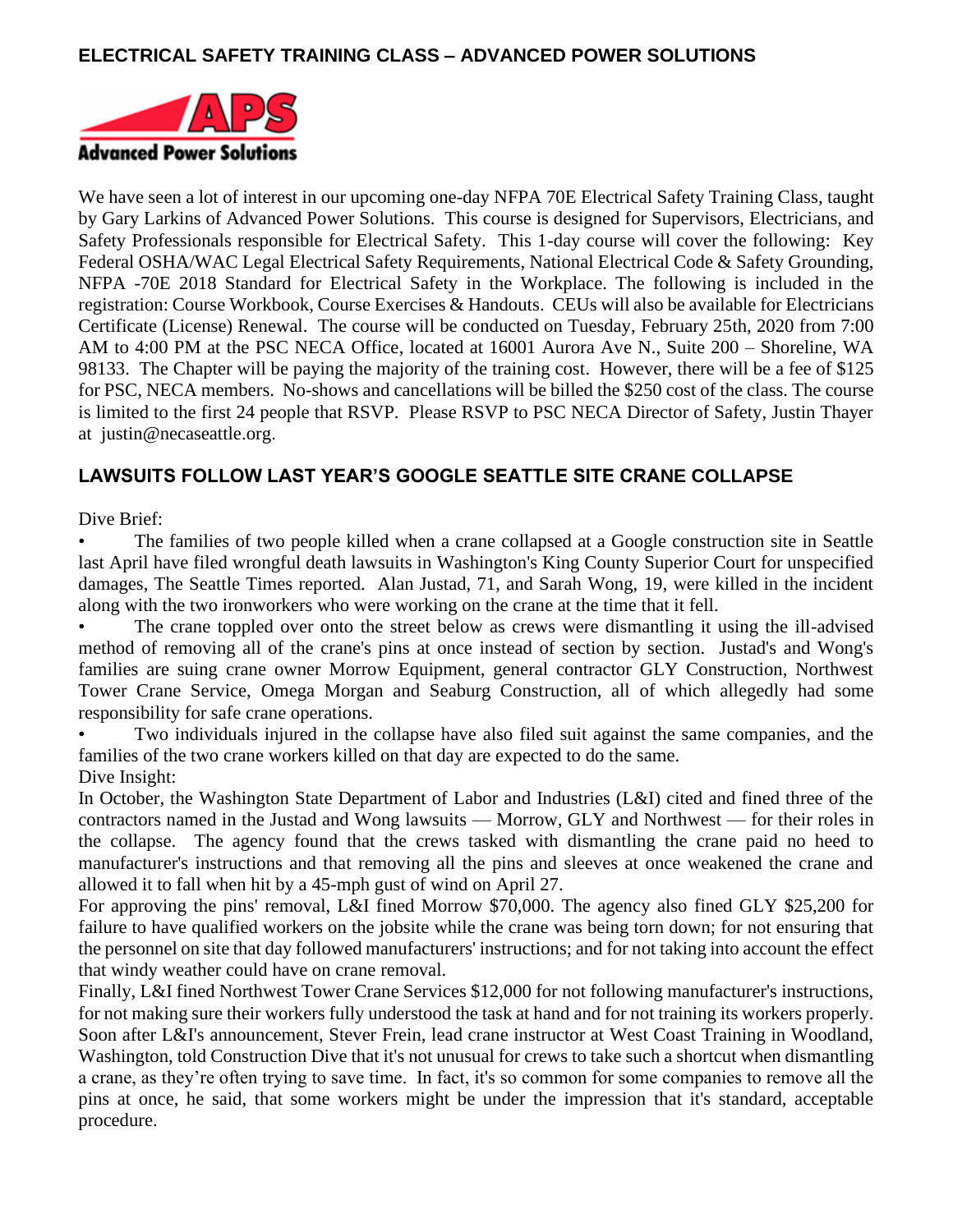### **ELECTRICAL SAFETY TRAINING CLASS – ADVANCED POWER SOLUTIONS**



We have seen a lot of interest in our upcoming one-day NFPA 70E Electrical Safety Training Class, taught by Gary Larkins of Advanced Power Solutions. This course is designed for Supervisors, Electricians, and Safety Professionals responsible for Electrical Safety. This 1-day course will cover the following: Key Federal OSHA/WAC Legal Electrical Safety Requirements, National Electrical Code & Safety Grounding, NFPA -70E 2018 Standard for Electrical Safety in the Workplace. The following is included in the registration: Course Workbook, Course Exercises & Handouts. CEUs will also be available for Electricians Certificate (License) Renewal. The course will be conducted on Tuesday, February 25th, 2020 from 7:00 AM to 4:00 PM at the PSC NECA Office, located at 16001 Aurora Ave N., Suite 200 – Shoreline, WA 98133. The Chapter will be paying the majority of the training cost. However, there will be a fee of \$125 for PSC, NECA members. No-shows and cancellations will be billed the \$250 cost of the class. The course is limited to the first 24 people that RSVP. Please RSVP to PSC NECA Director of Safety, Justin Thayer at justin@necaseattle.org.

#### **LAWSUITS FOLLOW LAST YEAR'S GOOGLE SEATTLE SITE CRANE COLLAPSE**

Dive Brief:

• The families of two people killed when a crane collapsed at a Google construction site in Seattle last April have filed wrongful death lawsuits in Washington's King County Superior Court for unspecified damages, The Seattle Times reported. Alan Justad, 71, and Sarah Wong, 19, were killed in the incident along with the two ironworkers who were working on the crane at the time that it fell.

• The crane toppled over onto the street below as crews were dismantling it using the ill-advised method of removing all of the crane's pins at once instead of section by section. Justad's and Wong's families are suing crane owner Morrow Equipment, general contractor GLY Construction, Northwest Tower Crane Service, Omega Morgan and Seaburg Construction, all of which allegedly had some responsibility for safe crane operations.

• Two individuals injured in the collapse have also filed suit against the same companies, and the families of the two crane workers killed on that day are expected to do the same. Dive Insight:

In October, the Washington State Department of Labor and Industries (L&I) cited and fined three of the contractors named in the Justad and Wong lawsuits — Morrow, GLY and Northwest — for their roles in the collapse. The agency found that the crews tasked with dismantling the crane paid no heed to manufacturer's instructions and that removing all the pins and sleeves at once weakened the crane and allowed it to fall when hit by a 45-mph gust of wind on April 27.

For approving the pins' removal, L&I fined Morrow \$70,000. The agency also fined GLY \$25,200 for failure to have qualified workers on the jobsite while the crane was being torn down; for not ensuring that the personnel on site that day followed manufacturers' instructions; and for not taking into account the effect that windy weather could have on crane removal.

Finally, L&I fined Northwest Tower Crane Services \$12,000 for not following manufacturer's instructions, for not making sure their workers fully understood the task at hand and for not training its workers properly. Soon after L&I's announcement, Stever Frein, lead crane instructor at West Coast Training in Woodland, Washington, told Construction Dive that it's not unusual for crews to take such a shortcut when dismantling a crane, as they're often trying to save time. In fact, it's so common for some companies to remove all the pins at once, he said, that some workers might be under the impression that it's standard, acceptable procedure.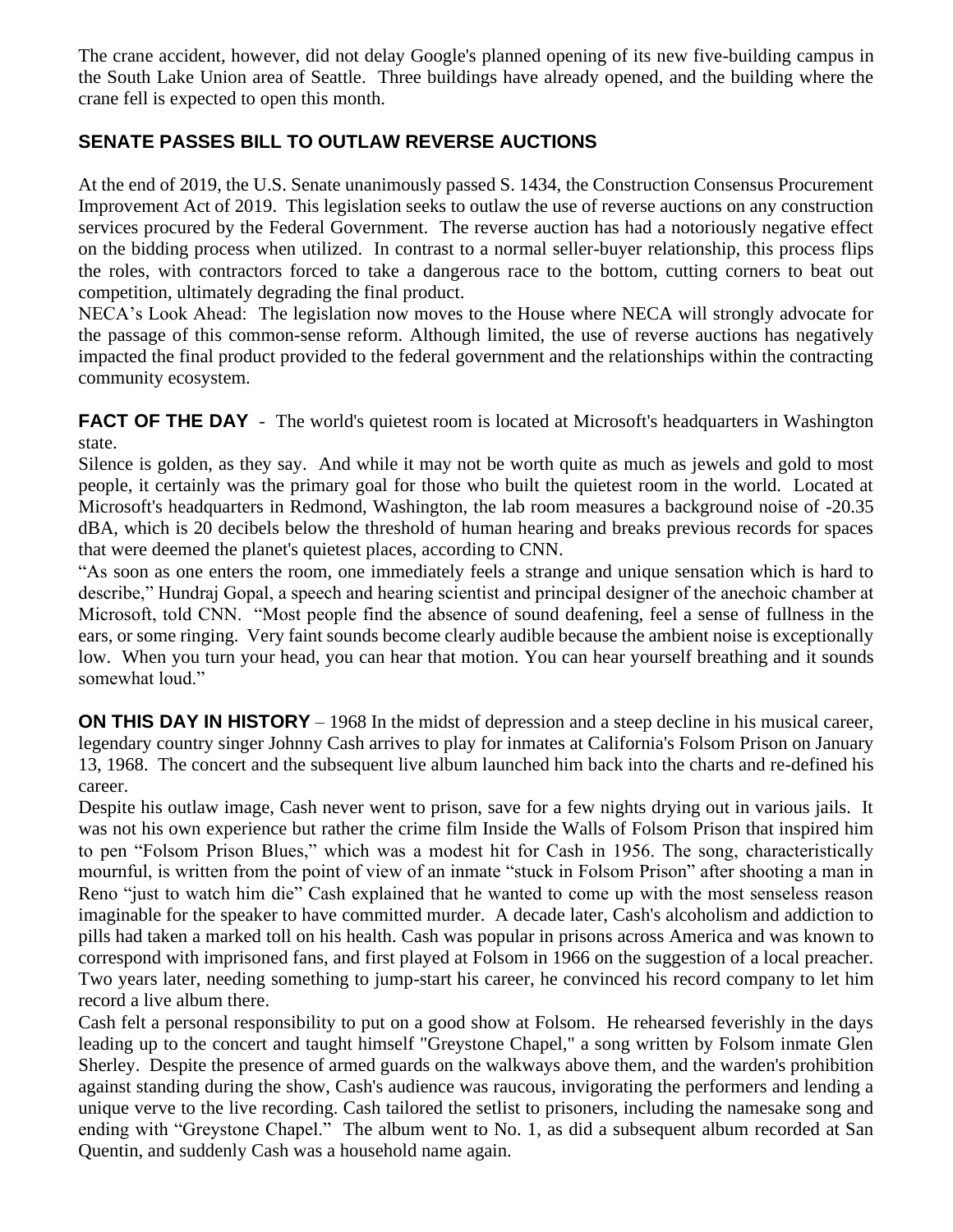The crane accident, however, did not delay Google's planned opening of its new five-building campus in the South Lake Union area of Seattle. Three buildings have already opened, and the building where the crane fell is expected to open this month.

#### **SENATE PASSES BILL TO OUTLAW REVERSE AUCTIONS**

At the end of 2019, the U.S. Senate unanimously passed S. 1434, the Construction Consensus Procurement Improvement Act of 2019. This legislation seeks to outlaw the use of reverse auctions on any construction services procured by the Federal Government. The reverse auction has had a notoriously negative effect on the bidding process when utilized. In contrast to a normal seller-buyer relationship, this process flips the roles, with contractors forced to take a dangerous race to the bottom, cutting corners to beat out competition, ultimately degrading the final product.

NECA's Look Ahead: The legislation now moves to the House where NECA will strongly advocate for the passage of this common-sense reform. Although limited, the use of reverse auctions has negatively impacted the final product provided to the federal government and the relationships within the contracting community ecosystem.

**FACT OF THE DAY** - The world's quietest room is located at Microsoft's headquarters in Washington state.

Silence is golden, as they say. And while it may not be worth quite as much as jewels and gold to most people, it certainly was the primary goal for those who built the quietest room in the world. Located at Microsoft's headquarters in Redmond, Washington, the lab room measures a background noise of -20.35 dBA, which is 20 decibels below the threshold of human hearing and breaks previous records for spaces that were deemed the planet's quietest places, according to CNN.

"As soon as one enters the room, one immediately feels a strange and unique sensation which is hard to describe," Hundraj Gopal, a speech and hearing scientist and principal designer of the anechoic chamber at Microsoft, told CNN. "Most people find the absence of sound deafening, feel a sense of fullness in the ears, or some ringing. Very faint sounds become clearly audible because the ambient noise is exceptionally low. When you turn your head, you can hear that motion. You can hear yourself breathing and it sounds somewhat loud."

**ON THIS DAY IN HISTORY** – 1968 In the midst of depression and a steep decline in his musical career, legendary country singer Johnny Cash arrives to play for inmates at California's Folsom Prison on January 13, 1968. The concert and the subsequent live album launched him back into the charts and re-defined his career.

Despite his outlaw image, Cash never went to prison, save for a few nights drying out in various jails. It was not his own experience but rather the crime film Inside the Walls of Folsom Prison that inspired him to pen "Folsom Prison Blues," which was a modest hit for Cash in 1956. The song, characteristically mournful, is written from the point of view of an inmate "stuck in Folsom Prison" after shooting a man in Reno "just to watch him die" Cash explained that he wanted to come up with the most senseless reason imaginable for the speaker to have committed murder. A decade later, Cash's alcoholism and addiction to pills had taken a marked toll on his health. Cash was popular in prisons across America and was known to correspond with imprisoned fans, and first played at Folsom in 1966 on the suggestion of a local preacher. Two years later, needing something to jump-start his career, he convinced his record company to let him record a live album there.

Cash felt a personal responsibility to put on a good show at Folsom. He rehearsed feverishly in the days leading up to the concert and taught himself "Greystone Chapel," a song written by Folsom inmate Glen Sherley. Despite the presence of armed guards on the walkways above them, and the warden's prohibition against standing during the show, Cash's audience was raucous, invigorating the performers and lending a unique verve to the live recording. Cash tailored the setlist to prisoners, including the namesake song and ending with "Greystone Chapel." The album went to No. 1, as did a subsequent album recorded at San Quentin, and suddenly Cash was a household name again.